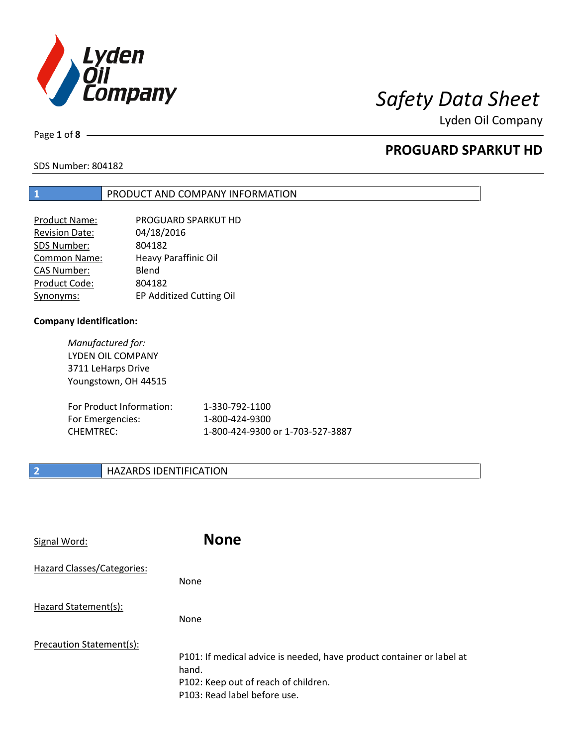

Page **1** of **8**

# **PROGUARD SPARKUT HD**

SDS Number: 804182

## **1** PRODUCT AND COMPANY INFORMATION

| <b>Product Name:</b>  | PROGUARD SPARKUT HD      |
|-----------------------|--------------------------|
| <b>Revision Date:</b> | 04/18/2016               |
| SDS Number:           | 804182                   |
| Common Name:          | Heavy Paraffinic Oil     |
| <b>CAS Number:</b>    | Blend                    |
| Product Code:         | 804182                   |
| Synonyms:             | EP Additized Cutting Oil |

## **Company Identification:**

*Manufactured for:* LYDEN OIL COMPANY 3711 LeHarps Drive Youngstown, OH 44515

| For Product Information: | 1-330-792-1100                   |
|--------------------------|----------------------------------|
| For Emergencies:         | 1-800-424-9300                   |
| CHEMTREC:                | 1-800-424-9300 or 1-703-527-3887 |

## **2 HAZARDS IDENTIFICATION**

| Signal Word:               | <b>None</b>                                                                                                                                            |
|----------------------------|--------------------------------------------------------------------------------------------------------------------------------------------------------|
| Hazard Classes/Categories: | None                                                                                                                                                   |
| Hazard Statement(s):       | <b>None</b>                                                                                                                                            |
| Precaution Statement(s):   | P101: If medical advice is needed, have product container or label at<br>hand.<br>P102: Keep out of reach of children.<br>P103: Read label before use. |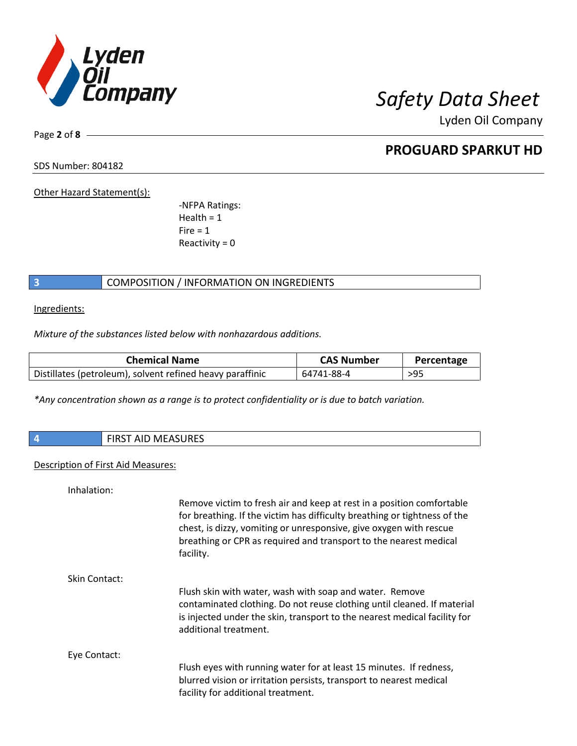

Page **2** of **8**

## **PROGUARD SPARKUT HD**

SDS Number: 804182

Other Hazard Statement(s):

-NFPA Ratings:  $Health = 1$  $Fire = 1$ Reactivity  $= 0$ 

## **3** COMPOSITION / INFORMATION ON INGREDIENTS

Ingredients:

*Mixture of the substances listed below with nonhazardous additions.*

| <b>Chemical Name</b>                                      | <b>CAS Number</b> | Percentage |
|-----------------------------------------------------------|-------------------|------------|
| Distillates (petroleum), solvent refined heavy paraffinic | 64741-88-4        | $>95$      |

*\*Any concentration shown as a range is to protect confidentiality or is due to batch variation.*

| $\boldsymbol{A}$ | AID MAEACUDEC<br>י איי איי איי איי איי איי איי <i>איי די די</i> |
|------------------|-----------------------------------------------------------------|
|                  |                                                                 |

## Description of First Aid Measures:

| Inhalation:   |                                                                                                                                                                                                                                                                                                            |
|---------------|------------------------------------------------------------------------------------------------------------------------------------------------------------------------------------------------------------------------------------------------------------------------------------------------------------|
|               | Remove victim to fresh air and keep at rest in a position comfortable<br>for breathing. If the victim has difficulty breathing or tightness of the<br>chest, is dizzy, vomiting or unresponsive, give oxygen with rescue<br>breathing or CPR as required and transport to the nearest medical<br>facility. |
| Skin Contact: |                                                                                                                                                                                                                                                                                                            |
|               | Flush skin with water, wash with soap and water. Remove<br>contaminated clothing. Do not reuse clothing until cleaned. If material<br>is injected under the skin, transport to the nearest medical facility for<br>additional treatment.                                                                   |
| Eye Contact:  |                                                                                                                                                                                                                                                                                                            |
|               | Flush eyes with running water for at least 15 minutes. If redness,<br>blurred vision or irritation persists, transport to nearest medical<br>facility for additional treatment.                                                                                                                            |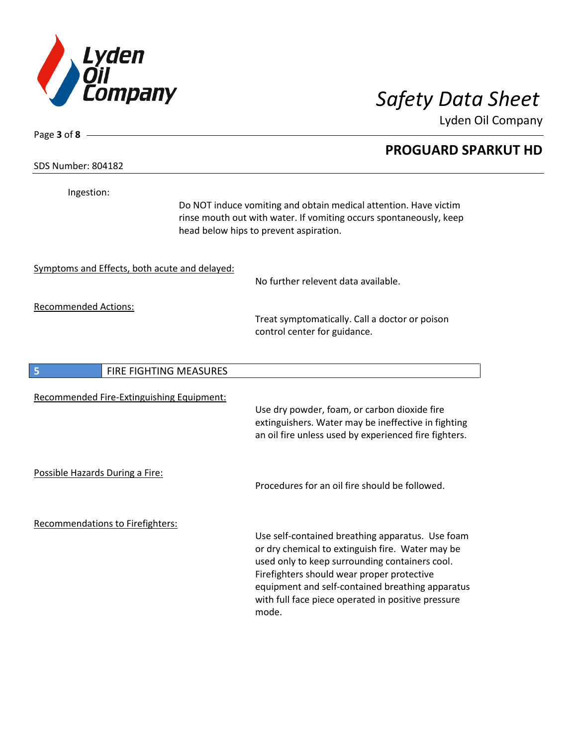

**PROGUARD SPARKUT HD**

Lyden Oil Company

SDS Number: 804182

Page **3** of **8**

Ingestion:

Do NOT induce vomiting and obtain medical attention. Have victim rinse mouth out with water. If vomiting occurs spontaneously, keep head below hips to prevent aspiration.

Symptoms and Effects, both acute and delayed:

No further relevent data available.

Recommended Actions:

Treat symptomatically. Call a doctor or poison control center for guidance.

| 5                               | <b>FIRE FIGHTING MEASURES</b>             |                                                                                                                                                                                                                                                                                                                         |
|---------------------------------|-------------------------------------------|-------------------------------------------------------------------------------------------------------------------------------------------------------------------------------------------------------------------------------------------------------------------------------------------------------------------------|
|                                 | Recommended Fire-Extinguishing Equipment: | Use dry powder, foam, or carbon dioxide fire<br>extinguishers. Water may be ineffective in fighting<br>an oil fire unless used by experienced fire fighters.                                                                                                                                                            |
| Possible Hazards During a Fire: |                                           | Procedures for an oil fire should be followed.                                                                                                                                                                                                                                                                          |
|                                 | Recommendations to Firefighters:          | Use self-contained breathing apparatus. Use foam<br>or dry chemical to extinguish fire. Water may be<br>used only to keep surrounding containers cool.<br>Firefighters should wear proper protective<br>equipment and self-contained breathing apparatus<br>with full face piece operated in positive pressure<br>mode. |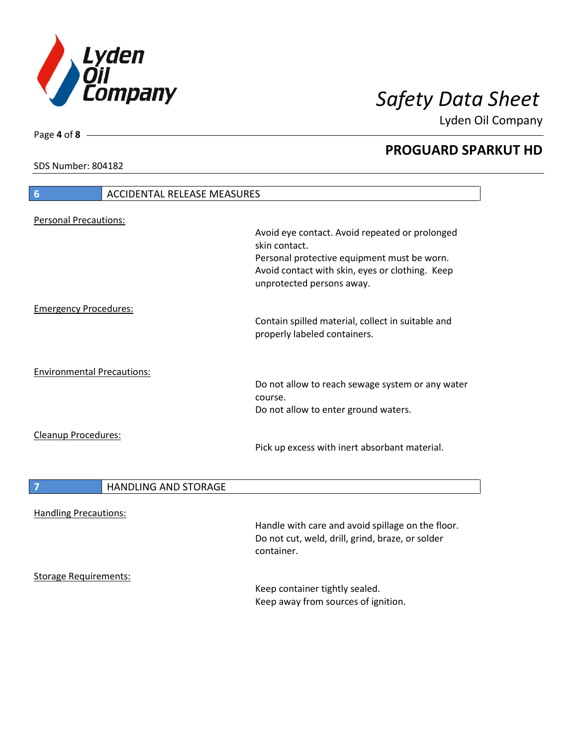

**PROGUARD SPARKUT HD**

Lyden Oil Company

SDS Number: 804182

# **6** ACCIDENTAL RELEASE MEASURES Personal Precautions: Avoid eye contact. Avoid repeated or prolonged skin contact. Personal protective equipment must be worn. Avoid contact with skin, eyes or clothing. Keep unprotected persons away. Emergency Procedures: Contain spilled material, collect in suitable and properly labeled containers. Environmental Precautions: Do not allow to reach sewage system or any water course. Do not allow to enter ground waters. Cleanup Procedures: Pick up excess with inert absorbant material. **7 HANDLING AND STORAGE** Handling Precautions: Handle with care and avoid spillage on the floor. Do not cut, weld, drill, grind, braze, or solder container. Storage Requirements: Keep container tightly sealed. Keep away from sources of ignition.

Page **4** of **8**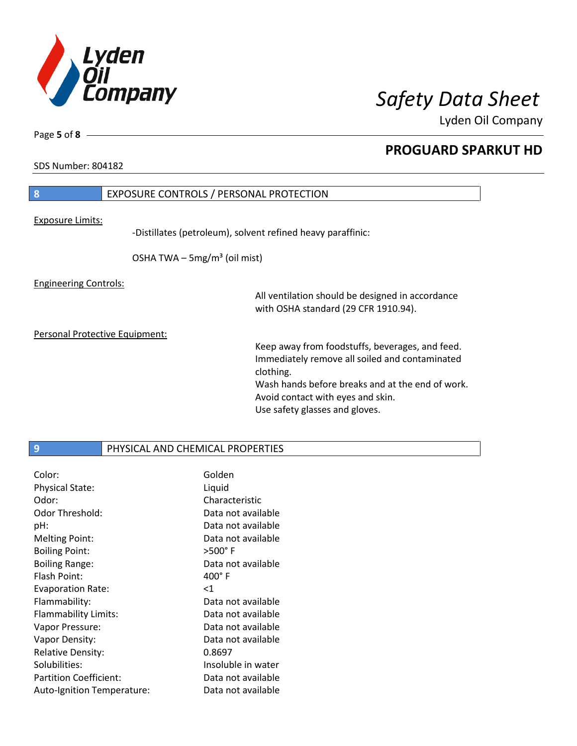

SDS Number: 804182

Page **5** of **8**

# **8** EXPOSURE CONTROLS / PERSONAL PROTECTION Exposure Limits: -Distillates (petroleum), solvent refined heavy paraffinic: OSHA TWA  $-$  5mg/m<sup>3</sup> (oil mist)

## Engineering Controls:

All ventilation should be designed in accordance with OSHA standard (29 CFR 1910.94).

Personal Protective Equipment:

Keep away from foodstuffs, beverages, and feed. Immediately remove all soiled and contaminated clothing. Wash hands before breaks and at the end of work. Avoid contact with eyes and skin. Use safety glasses and gloves.

## **9** PHYSICAL AND CHEMICAL PROPERTIES

| Color:                        | Golden             |
|-------------------------------|--------------------|
| <b>Physical State:</b>        | Liquid             |
| Odor:                         | Characteristic     |
| Odor Threshold:               | Data not available |
| pH:                           | Data not available |
| <b>Melting Point:</b>         | Data not available |
| <b>Boiling Point:</b>         | $>500^\circ$ F     |
| <b>Boiling Range:</b>         | Data not available |
| Flash Point:                  | $400^{\circ}$ F    |
| <b>Evaporation Rate:</b>      | $<$ 1              |
|                               |                    |
| Flammability:                 | Data not available |
| Flammability Limits:          | Data not available |
| Vapor Pressure:               | Data not available |
| Vapor Density:                | Data not available |
| <b>Relative Density:</b>      | 0.8697             |
| Solubilities:                 | Insoluble in water |
| <b>Partition Coefficient:</b> | Data not available |

## **PROGUARD SPARKUT HD**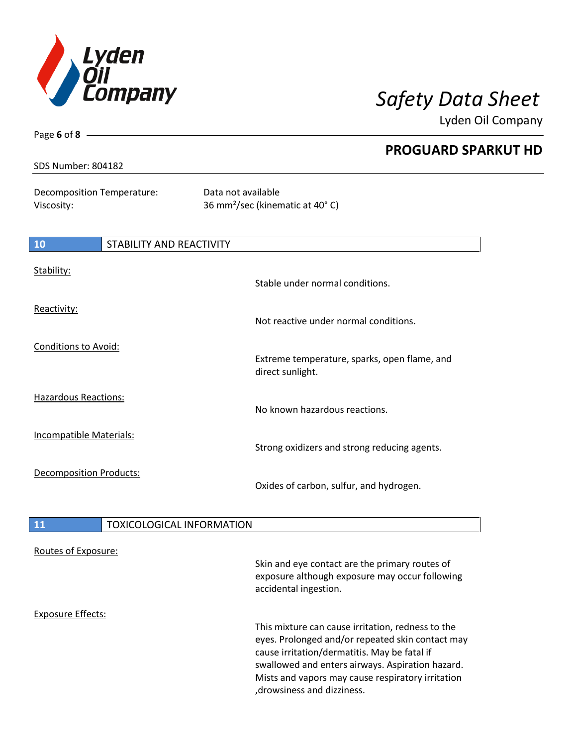

Page **6** of **8**

Lyden Oil Company

|                                          |                                  | <b>PROGUARD SPARKUT HD</b>                                        |
|------------------------------------------|----------------------------------|-------------------------------------------------------------------|
| <b>SDS Number: 804182</b>                |                                  |                                                                   |
| Decomposition Temperature:<br>Viscosity: |                                  | Data not available<br>36 mm <sup>2</sup> /sec (kinematic at 40°C) |
| 10                                       | <b>STABILITY AND REACTIVITY</b>  |                                                                   |
| Stability:                               |                                  | Stable under normal conditions.                                   |
| Reactivity:                              |                                  | Not reactive under normal conditions.                             |
| <b>Conditions to Avoid:</b>              |                                  | Extreme temperature, sparks, open flame, and<br>direct sunlight.  |
| <b>Hazardous Reactions:</b>              |                                  | No known hazardous reactions.                                     |
| Incompatible Materials:                  |                                  | Strong oxidizers and strong reducing agents.                      |
| <b>Decomposition Products:</b>           |                                  | Oxides of carbon, sulfur, and hydrogen.                           |
| 11                                       | <b>TOXICOLOGICAL INFORMATION</b> |                                                                   |

| Routes of Exposure: | Skin and eye contact are the primary routes of<br>exposure although exposure may occur following<br>accidental ingestion.                                                                                                                                                                     |
|---------------------|-----------------------------------------------------------------------------------------------------------------------------------------------------------------------------------------------------------------------------------------------------------------------------------------------|
| Exposure Effects:   | This mixture can cause irritation, redness to the<br>eyes. Prolonged and/or repeated skin contact may<br>cause irritation/dermatitis. May be fatal if<br>swallowed and enters airways. Aspiration hazard.<br>Mists and vapors may cause respiratory irritation<br>, drowsiness and dizziness. |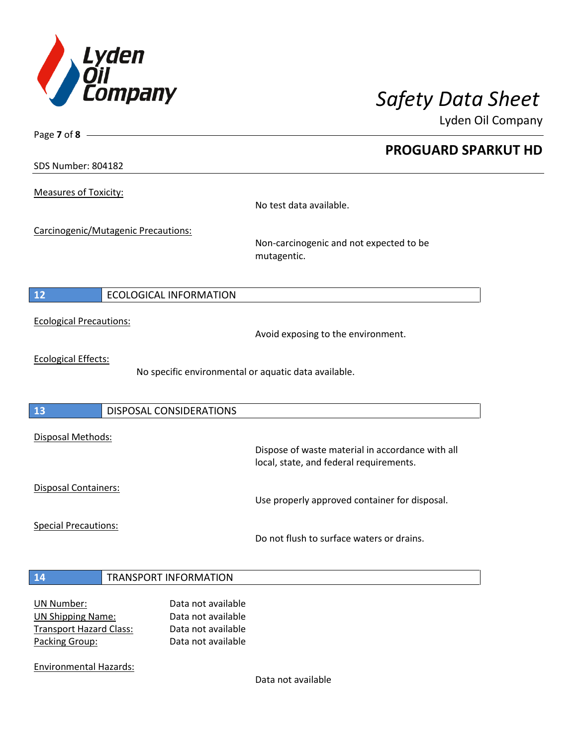

**PROGUARD SPARKUT HD**

Lyden Oil Company

SDS Number: 804182

Page **7** of **8**

Measures of Toxicity:

No test data available.

Carcinogenic/Mutagenic Precautions:

Non-carcinogenic and not expected to be mutagentic.

## **12** ECOLOGICAL INFORMATION

Ecological Precautions:

Avoid exposing to the environment.

Ecological Effects:

No specific environmental or aquatic data available.

## **13** DISPOSAL CONSIDERATIONS

Disposal Methods:

Disposal Containers:

Use properly approved container for disposal.

Dispose of waste material in accordance with all

Special Precautions:

Do not flush to surface waters or drains.

local, state, and federal requirements.

## **14** TRANSPORT INFORMATION

| Data not available |
|--------------------|
| Data not available |
| Data not available |
| Data not available |
|                    |

Environmental Hazards:

Data not available